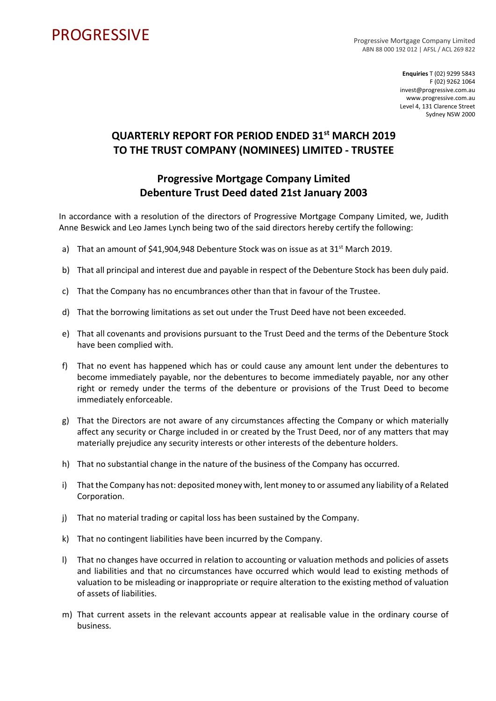## **PROGRESSIVE**

Progressive Mortgage Company Limited ABN 88 000 192 012 | AFSL / ACL 269 822

> **Enquiries** T (02) 9299 5843 F (02) 9262 1064 invest@progressive.com.au www.progressive.com.au Level 4, 131 Clarence Street Sydney NSW 2000

## **QUARTERLY REPORT FOR PERIOD ENDED 31st MARCH 2019 TO THE TRUST COMPANY (NOMINEES) LIMITED - TRUSTEE**

## **Progressive Mortgage Company Limited Debenture Trust Deed dated 21st January 2003**

In accordance with a resolution of the directors of Progressive Mortgage Company Limited, we, Judith Anne Beswick and Leo James Lynch being two of the said directors hereby certify the following:

- a) That an amount of  $$41,904,948$  Debenture Stock was on issue as at  $31^{st}$  March 2019.
- b) That all principal and interest due and payable in respect of the Debenture Stock has been duly paid.
- c) That the Company has no encumbrances other than that in favour of the Trustee.
- d) That the borrowing limitations as set out under the Trust Deed have not been exceeded.
- e) That all covenants and provisions pursuant to the Trust Deed and the terms of the Debenture Stock have been complied with.
- f) That no event has happened which has or could cause any amount lent under the debentures to become immediately payable, nor the debentures to become immediately payable, nor any other right or remedy under the terms of the debenture or provisions of the Trust Deed to become immediately enforceable.
- g) That the Directors are not aware of any circumstances affecting the Company or which materially affect any security or Charge included in or created by the Trust Deed, nor of any matters that may materially prejudice any security interests or other interests of the debenture holders.
- h) That no substantial change in the nature of the business of the Company has occurred.
- i) That the Company has not: deposited money with, lent money to or assumed any liability of a Related Corporation.
- j) That no material trading or capital loss has been sustained by the Company.
- k) That no contingent liabilities have been incurred by the Company.
- l) That no changes have occurred in relation to accounting or valuation methods and policies of assets and liabilities and that no circumstances have occurred which would lead to existing methods of valuation to be misleading or inappropriate or require alteration to the existing method of valuation of assets of liabilities.
- m) That current assets in the relevant accounts appear at realisable value in the ordinary course of business.